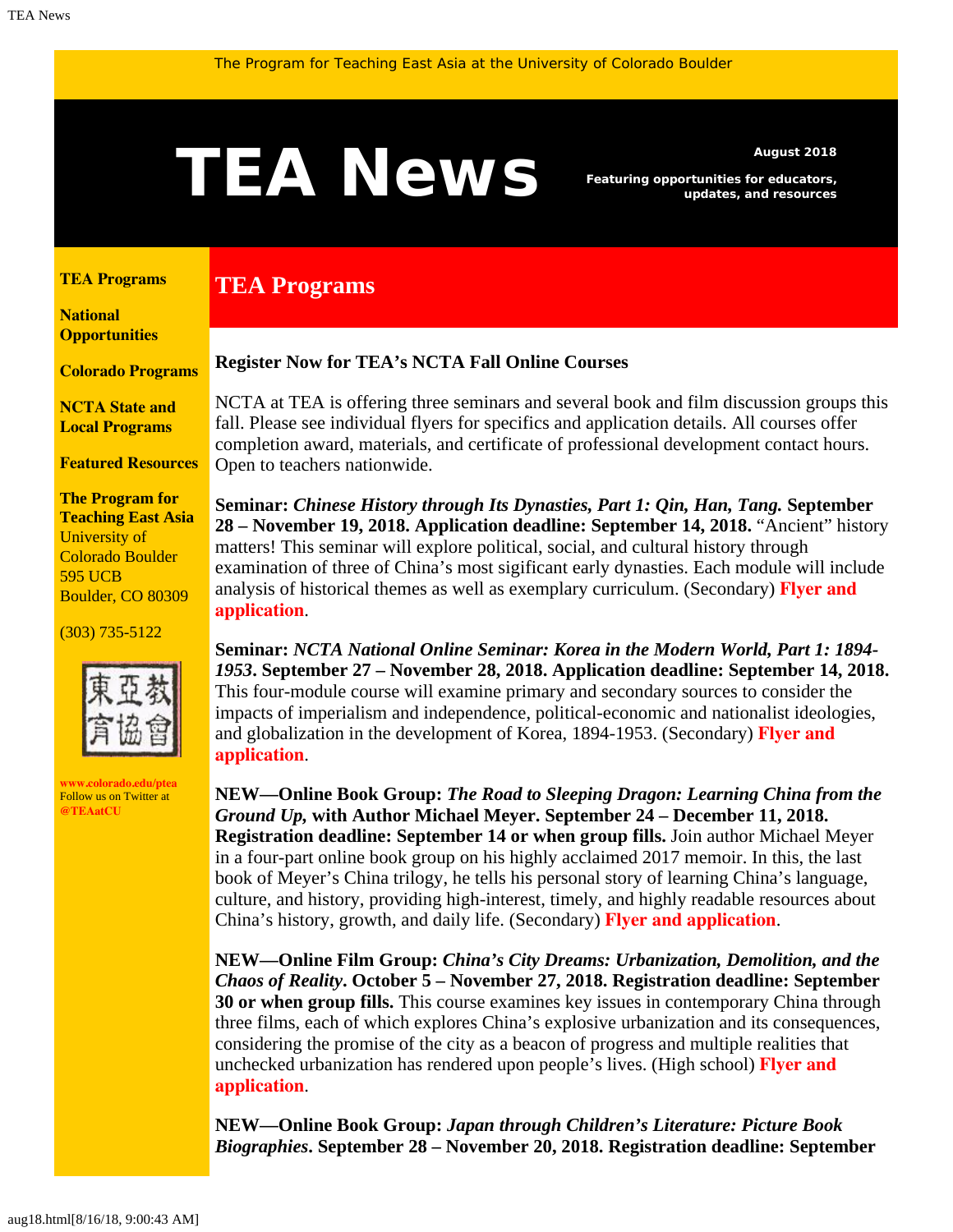# <span id="page-0-1"></span>AUGUS Featuring opportunities for educators,

**TEA Programs**

*Featuring opportunities for educators, updates, and resources*

#### <span id="page-0-0"></span>**[TEA Programs](#page-0-0)**

**[National](#page-0-1)  [Opportunities](#page-0-1)**

**[Colorado Programs](#page-0-1)**

**[NCTA State and](#page-2-0) [Local Programs](#page-2-0)**

**[Featured Resources](#page-2-1)**

**The Program for Teaching East Asia** University of Colorado Boulder 595 UCB Boulder, CO 80309

(303) 735-5122



**[www.colorado.edu/ptea](http://www.colorado.edu/cas/tea)** Follow us on Twitter at **[@TEAatCU](https://twitter.com/TEAatCU)**

#### **Register Now for TEA's NCTA Fall Online Courses**

NCTA at TEA is offering three seminars and several book and film discussion groups this fall. Please see individual flyers for specifics and application details. All courses offer completion award, materials, and certificate of professional development contact hours. Open to teachers nationwide.

**Seminar:** *Chinese History through Its Dynasties, Part 1: Qin, Han, Tang.* **September 28 – November 19, 2018. Application deadline: September 14, 2018.** "Ancient" history matters! This seminar will explore political, social, and cultural history through examination of three of China's most sigificant early dynasties. Each module will include analysis of historical themes as well as exemplary curriculum. (Secondary) **[Flyer and](https://www.colorado.edu/ptea/sites/default/files/attached-files/chinadynasties_flyer_fall2018.pdf) [application](https://www.colorado.edu/ptea/sites/default/files/attached-files/chinadynasties_flyer_fall2018.pdf)**.

**Seminar:** *NCTA National Online Seminar: Korea in the Modern World, Part 1: 1894- 1953***. September 27 – November 28, 2018. Application deadline: September 14, 2018.** This four-module course will examine primary and secondary sources to consider the impacts of imperialism and independence, political-economic and nationalist ideologies, and globalization in the development of Korea, 1894-1953. (Secondary) **[Flyer and](https://www.colorado.edu/ptea/sites/default/files/attached-files/2018koreacoursepart1flyer.pdf) [application](https://www.colorado.edu/ptea/sites/default/files/attached-files/2018koreacoursepart1flyer.pdf)**.

**NEW—Online Book Group:** *The Road to Sleeping Dragon: Learning China from the Ground Up,* **with Author Michael Meyer. September 24 – December 11, 2018. Registration deadline: September 14 or when group fills.** Join author Michael Meyer in a four-part online book group on his highly acclaimed 2017 memoir. In this, the last book of Meyer's China trilogy, he tells his personal story of learning China's language, culture, and history, providing high-interest, timely, and highly readable resources about China's history, growth, and daily life. (Secondary) **[Flyer and application](https://www.colorado.edu/ptea/sites/default/files/attached-files/meyer_sleeping_dragon_flyer_fall2018.pdf)**.

**NEW—Online Film Group:** *China's City Dreams: Urbanization, Demolition, and the Chaos of Reality***. October 5 – November 27, 2018. Registration deadline: September 30 or when group fills.** This course examines key issues in contemporary China through three films, each of which explores China's explosive urbanization and its consequences, considering the promise of the city as a beacon of progress and multiple realities that unchecked urbanization has rendered upon people's lives. (High school) **[Flyer and](https://www.colorado.edu/ptea/sites/default/files/attached-files/flyer_china_film18.pdf) [application](https://www.colorado.edu/ptea/sites/default/files/attached-files/flyer_china_film18.pdf)**.

**NEW—Online Book Group:** *Japan through Children's Literature: Picture Book Biographies***. September 28 – November 20, 2018. Registration deadline: September**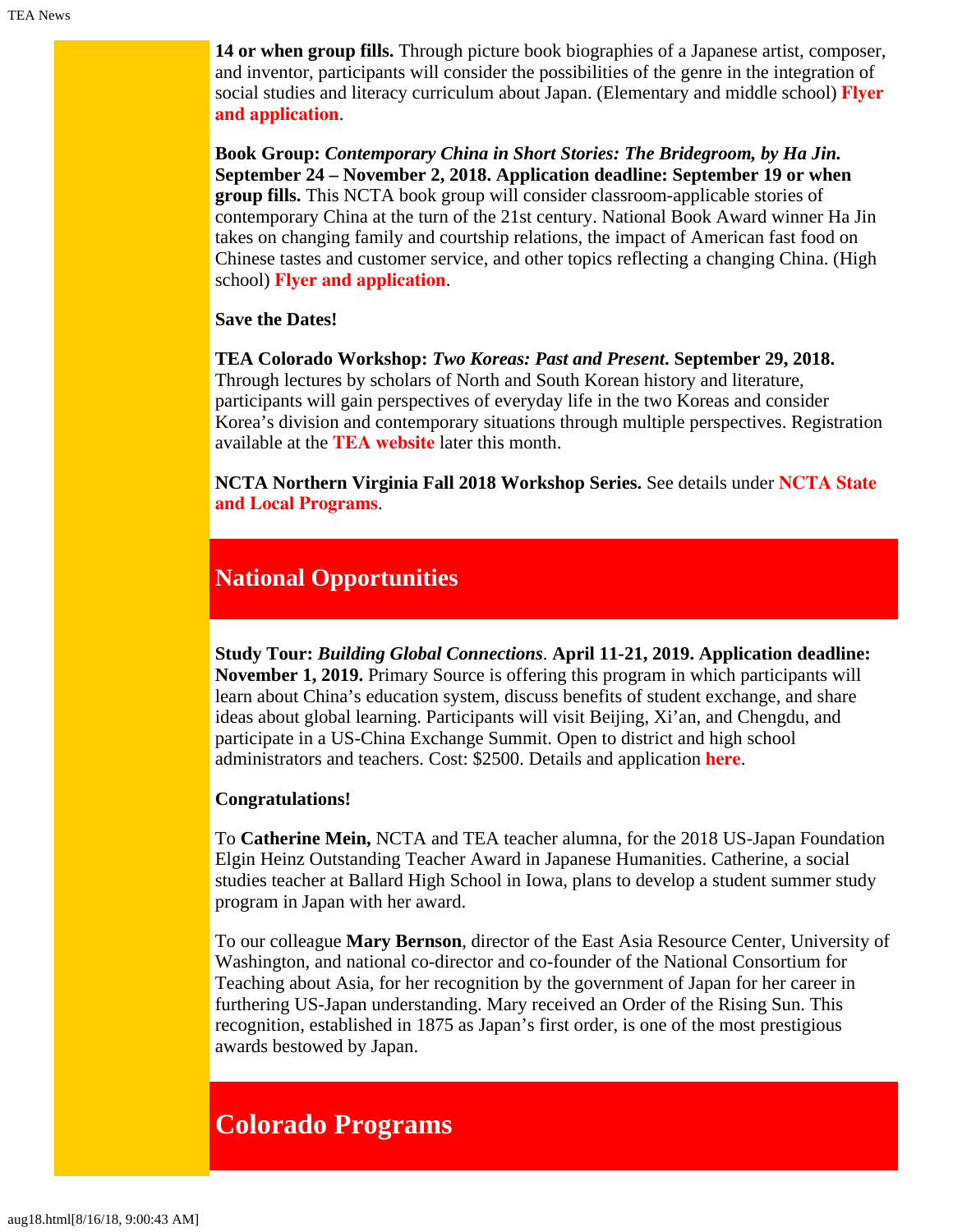**14 or when group fills.** Through picture book biographies of a Japanese artist, composer, and inventor, participants will consider the possibilities of the genre in the integration of social studies and literacy curriculum about Japan. (Elementary and middle school) **[Flyer](https://www.colorado.edu/ptea/sites/default/files/attached-files/fall2018jpkidlitbgflyer.pdf) [and application](https://www.colorado.edu/ptea/sites/default/files/attached-files/fall2018jpkidlitbgflyer.pdf)**.

**Book Group:** *Contemporary China in Short Stories: The Bridegroom, by Ha Jin.* **September 24 – November 2, 2018. Application deadline: September 19 or when group fills.** This NCTA book group will consider classroom-applicable stories of contemporary China at the turn of the 21st century. National Book Award winner Ha Jin takes on changing family and courtship relations, the impact of American fast food on Chinese tastes and customer service, and other topics reflecting a changing China. (High school) **[Flyer and application](https://www.colorado.edu/ptea/sites/default/files/attached-files/flyer_bridegroom_book_group_fall_2018.pdf)**.

**Save the Dates!**

<span id="page-1-0"></span>**TEA Colorado Workshop:** *Two Koreas: Past and Present***. September 29, 2018.** Through lectures by scholars of North and South Korean history and literature, participants will gain perspectives of everyday life in the two Koreas and consider Korea's division and contemporary situations through multiple perspectives. Registration available at the **[TEA website](https://www.colorado.edu/ptea/)** later this month.

**NCTA Northern Virginia Fall 2018 Workshop Series.** See details under **[NCTA State](#page-2-0) [and Local Programs](#page-2-0)**.

### **National Opportunities**

**Study Tour:** *Building Global Connections*. **April 11-21, 2019. Application deadline: November 1, 2019.** Primary Source is offering this program in which participants will learn about China's education system, discuss benefits of student exchange, and share ideas about global learning. Participants will visit Beijing, Xi'an, and Chengdu, and participate in a US-China Exchange Summit. Open to district and high school administrators and teachers. Cost: \$2500. Details and application **[here](https://www.primarysource.org/for-teachers/study-tours)**.

#### **Congratulations!**

To **Catherine Mein,** NCTA and TEA teacher alumna, for the 2018 US-Japan Foundation Elgin Heinz Outstanding Teacher Award in Japanese Humanities. Catherine, a social studies teacher at Ballard High School in Iowa, plans to develop a student summer study program in Japan with her award.

To our colleague **Mary Bernson**, director of the East Asia Resource Center, University of Washington, and national co-director and co-founder of the National Consortium for Teaching about Asia, for her recognition by the government of Japan for her career in furthering US-Japan understanding. Mary received an Order of the Rising Sun. This recognition, established in 1875 as Japan's first order, is one of the most prestigious awards bestowed by Japan.

## **Colorado Programs**